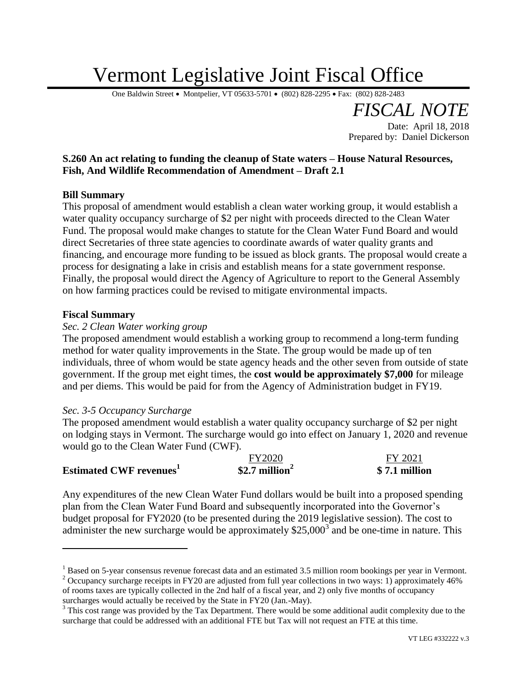# Vermont Legislative Joint Fiscal Office

One Baldwin Street • Montpelier, VT 05633-5701 • (802) 828-2295 • Fax: (802) 828-2483

**S.260 An act relating to funding the cleanup of State waters – House Natural Resources, Fish, And Wildlife Recommendation of Amendment – Draft 2.1**

# **Bill Summary**

This proposal of amendment would establish a clean water working group, it would establish a water quality occupancy surcharge of \$2 per night with proceeds directed to the Clean Water Fund. The proposal would make changes to statute for the Clean Water Fund Board and would direct Secretaries of three state agencies to coordinate awards of water quality grants and financing, and encourage more funding to be issued as block grants. The proposal would create a process for designating a lake in crisis and establish means for a state government response. Finally, the proposal would direct the Agency of Agriculture to report to the General Assembly on how farming practices could be revised to mitigate environmental impacts.

### **Fiscal Summary**

 $\overline{a}$ 

# *Sec. 2 Clean Water working group*

The proposed amendment would establish a working group to recommend a long-term funding method for water quality improvements in the State. The group would be made up of ten individuals, three of whom would be state agency heads and the other seven from outside of state government. If the group met eight times, the **cost would be approximately \$7,000** for mileage and per diems. This would be paid for from the Agency of Administration budget in FY19.

### *Sec. 3-5 Occupancy Surcharge*

The proposed amendment would establish a water quality occupancy surcharge of \$2 per night on lodging stays in Vermont. The surcharge would go into effect on January 1, 2020 and revenue would go to the Clean Water Fund (CWF).

|                               | <b>FY2020</b>              | FY 2021       |
|-------------------------------|----------------------------|---------------|
| <b>Estimated CWF revenues</b> | \$2.7 million <sup>2</sup> | \$7.1 million |

Any expenditures of the new Clean Water Fund dollars would be built into a proposed spending plan from the Clean Water Fund Board and subsequently incorporated into the Governor's budget proposal for FY2020 (to be presented during the 2019 legislative session). The cost to administer the new surcharge would be approximately  $$25,000^3$  and be one-time in nature. This

surcharges would actually be received by the State in FY20 (Jan.-May).

*FISCAL NOTE*

Prepared by: Daniel Dickerson

Date: April 18, 2018

<sup>&</sup>lt;sup>1</sup> Based on 5-year consensus revenue forecast data and an estimated 3.5 million room bookings per year in Vermont. <sup>2</sup> Occupancy surcharge receipts in FY20 are adjusted from full year collections in two ways: 1) approximately 46% of rooms taxes are typically collected in the 2nd half of a fiscal year, and 2) only five months of occupancy

 $3$  This cost range was provided by the Tax Department. There would be some additional audit complexity due to the surcharge that could be addressed with an additional FTE but Tax will not request an FTE at this time.